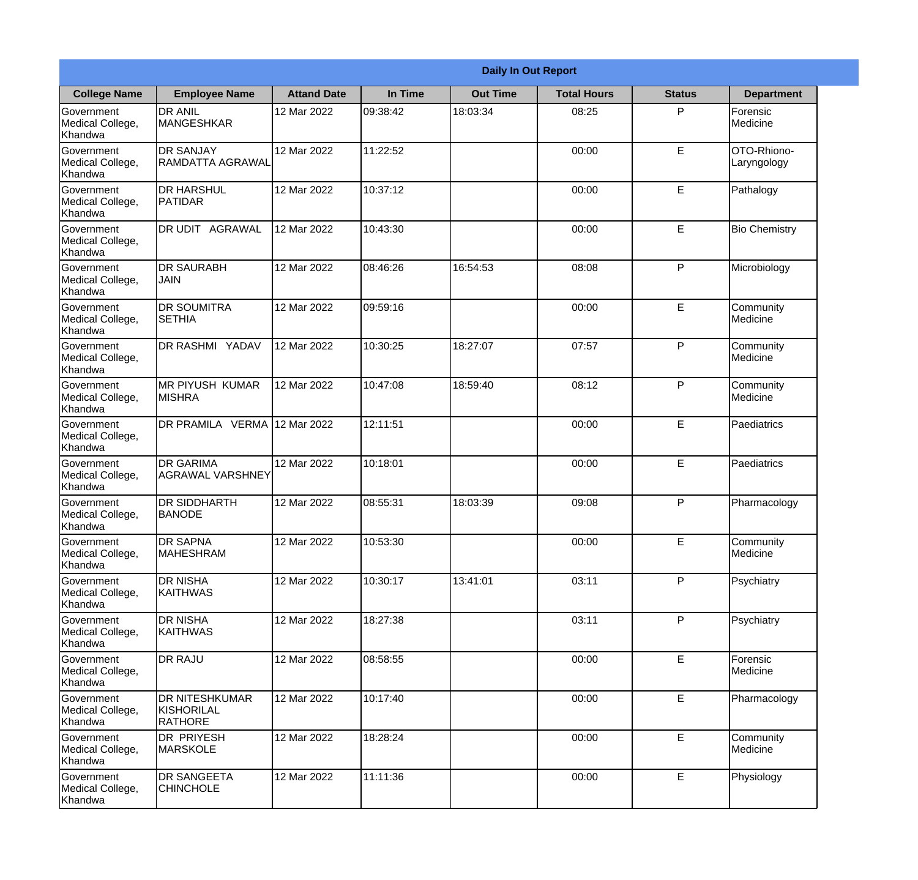|                                                  | <b>Daily In Out Report</b>                            |                    |          |                 |                    |               |                            |  |  |
|--------------------------------------------------|-------------------------------------------------------|--------------------|----------|-----------------|--------------------|---------------|----------------------------|--|--|
| <b>College Name</b>                              | <b>Employee Name</b>                                  | <b>Attand Date</b> | In Time  | <b>Out Time</b> | <b>Total Hours</b> | <b>Status</b> | <b>Department</b>          |  |  |
| Government<br>Medical College,<br>Khandwa        | <b>DR ANIL</b><br><b>MANGESHKAR</b>                   | 12 Mar 2022        | 09:38:42 | 18:03:34        | 08:25              | P             | Forensic<br>Medicine       |  |  |
| Government<br>Medical College,<br>Khandwa        | <b>DR SANJAY</b><br><b>RAMDATTA AGRAWAL</b>           | 12 Mar 2022        | 11:22:52 |                 | 00:00              | E             | OTO-Rhiono-<br>Laryngology |  |  |
| <b>Government</b><br>Medical College,<br>Khandwa | <b>DR HARSHUL</b><br><b>PATIDAR</b>                   | 12 Mar 2022        | 10:37:12 |                 | 00:00              | E             | Pathalogy                  |  |  |
| Government<br>Medical College,<br>Khandwa        | <b>DR UDIT AGRAWAL</b>                                | 12 Mar 2022        | 10:43:30 |                 | 00:00              | E             | <b>Bio Chemistry</b>       |  |  |
| Government<br>Medical College,<br>Khandwa        | <b>DR SAURABH</b><br><b>JAIN</b>                      | 12 Mar 2022        | 08:46:26 | 16:54:53        | 08:08              | P             | Microbiology               |  |  |
| Government<br>Medical College,<br>Khandwa        | <b>DR SOUMITRA</b><br><b>SETHIA</b>                   | 12 Mar 2022        | 09:59:16 |                 | 00:00              | E             | Community<br>Medicine      |  |  |
| Government<br>Medical College,<br>Khandwa        | DR RASHMI YADAV                                       | 12 Mar 2022        | 10:30:25 | 18:27:07        | 07:57              | P             | Community<br>Medicine      |  |  |
| Government<br>Medical College,<br>Khandwa        | <b>MR PIYUSH KUMAR</b><br><b>MISHRA</b>               | 12 Mar 2022        | 10:47:08 | 18:59:40        | 08:12              | P             | Community<br>Medicine      |  |  |
| Government<br>Medical College,<br>Khandwa        | DR PRAMILA VERMA                                      | 12 Mar 2022        | 12:11:51 |                 | 00:00              | E             | Paediatrics                |  |  |
| Government<br>Medical College,<br>Khandwa        | <b>DR GARIMA</b><br><b>AGRAWAL VARSHNEY</b>           | 12 Mar 2022        | 10:18:01 |                 | 00:00              | E             | Paediatrics                |  |  |
| Government<br>Medical College,<br>Khandwa        | <b>DR SIDDHARTH</b><br><b>BANODE</b>                  | 12 Mar 2022        | 08:55:31 | 18:03:39        | 09:08              | $\mathsf{P}$  | Pharmacology               |  |  |
| Government<br>Medical College,<br>Khandwa        | <b>DR SAPNA</b><br><b>MAHESHRAM</b>                   | 12 Mar 2022        | 10:53:30 |                 | 00:00              | E             | Community<br>Medicine      |  |  |
| Government<br>Medical College,<br>Khandwa        | <b>DR NISHA</b><br><b>KAITHWAS</b>                    | 12 Mar 2022        | 10:30:17 | 13:41:01        | 03:11              | P             | Psychiatry                 |  |  |
| Government<br>Medical College,<br>Khandwa        | <b>DR NISHA</b><br><b>KAITHWAS</b>                    | 12 Mar 2022        | 18:27:38 |                 | 03:11              | P             | Psychiatry                 |  |  |
| <b>Government</b><br>Medical College,<br>Khandwa | <b>DR RAJU</b>                                        | 12 Mar 2022        | 08:58:55 |                 | 00:00              | E             | Forensic<br>Medicine       |  |  |
| Government<br>Medical College,<br>Khandwa        | <b>DR NITESHKUMAR</b><br>KISHORILAL<br><b>RATHORE</b> | 12 Mar 2022        | 10:17:40 |                 | 00:00              | E             | Pharmacology               |  |  |
| Government<br>Medical College,<br>Khandwa        | <b>DR PRIYESH</b><br>MARSKOLE                         | 12 Mar 2022        | 18:28:24 |                 | 00:00              | E             | Community<br>Medicine      |  |  |
| Government<br>Medical College,<br>Khandwa        | <b>DR SANGEETA</b><br><b>CHINCHOLE</b>                | 12 Mar 2022        | 11:11:36 |                 | 00:00              | E             | Physiology                 |  |  |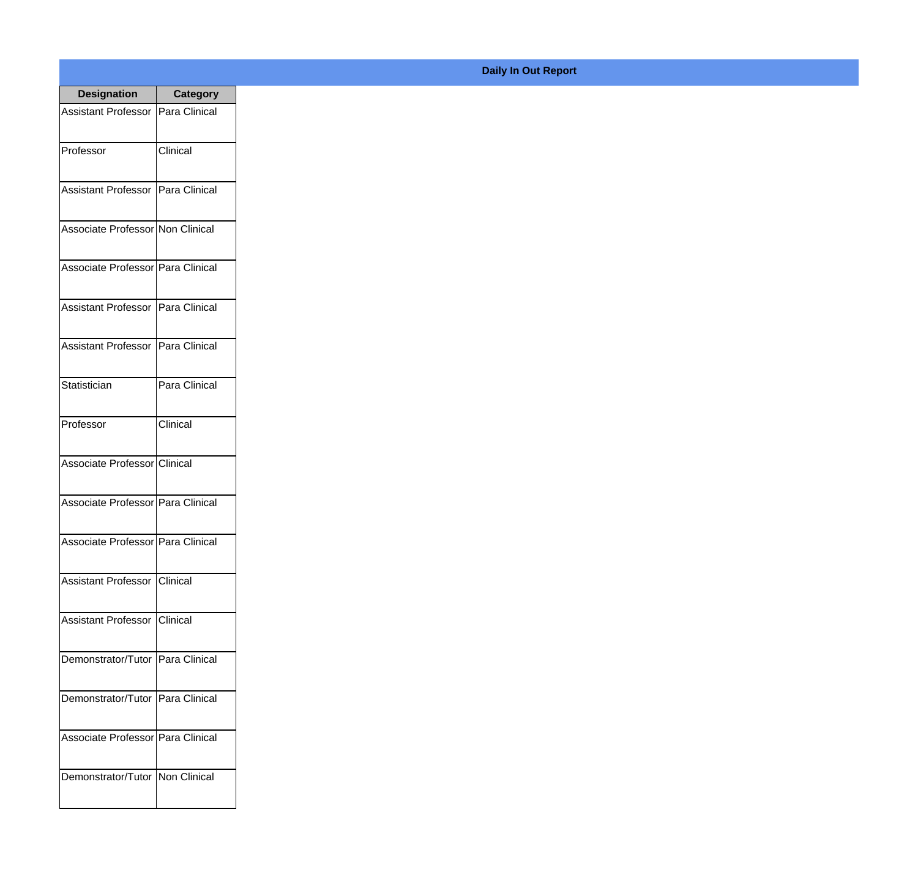| <b>Designation</b>                  | <b>Category</b> |
|-------------------------------------|-----------------|
| Assistant Professor   Para Clinical |                 |
| Professor                           | Clinical        |
| Assistant Professor   Para Clinical |                 |
| Associate Professor Non Clinical    |                 |
| Associate Professor Para Clinical   |                 |
| Assistant Professor   Para Clinical |                 |
| Assistant Professor   Para Clinical |                 |
| Statistician                        | Para Clinical   |
| Professor                           | Clinical        |
| Associate Professor Clinical        |                 |
| Associate Professor Para Clinical   |                 |
| Associate Professor Para Clinical   |                 |
| Assistant Professor   Clinical      |                 |
| Assistant Professor   Clinical      |                 |
| Demonstrator/Tutor   Para Clinical  |                 |
| Demonstrator/Tutor   Para Clinical  |                 |
| Associate Professor   Para Clinical |                 |
| Demonstrator/Tutor   Non Clinical   |                 |

## **Daily In Out Report**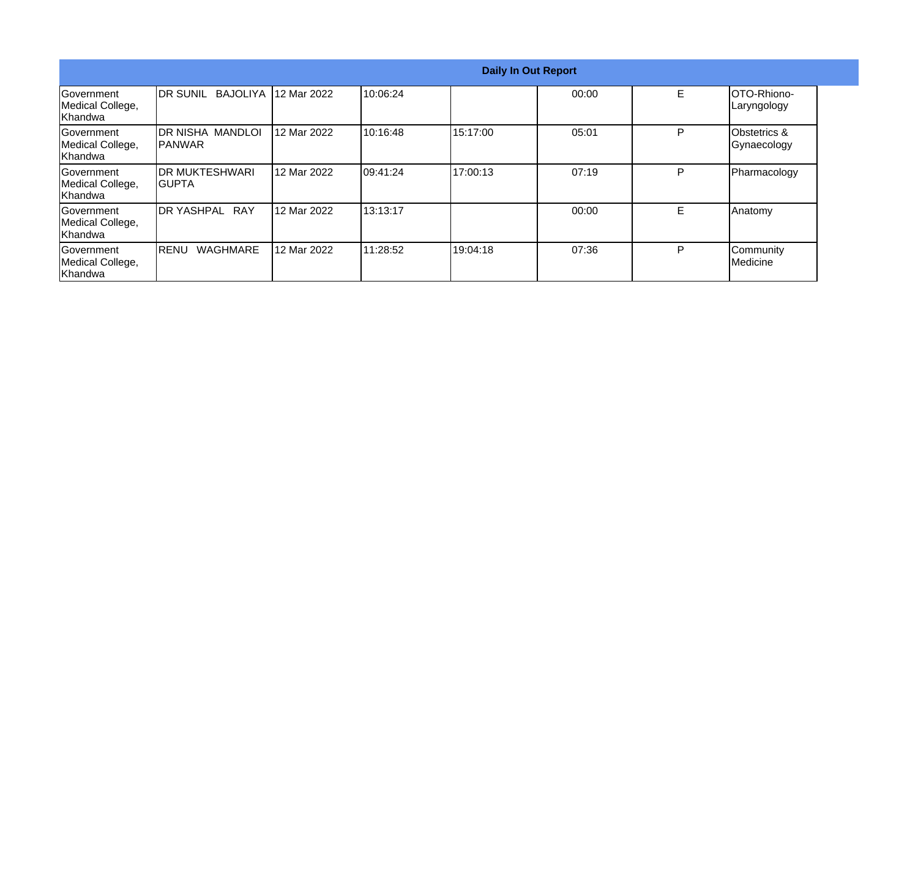|                                                  | <b>Daily In Out Report</b>          |             |           |          |       |   |                                        |  |
|--------------------------------------------------|-------------------------------------|-------------|-----------|----------|-------|---|----------------------------------------|--|
| Government<br>Medical College,<br>Khandwa        | <b>IDR SUNIL</b><br><b>BAJOLIYA</b> | 12 Mar 2022 | 10:06:24  |          | 00:00 | E | IOTO-Rhiono-<br>Laryngology            |  |
| Government<br>Medical College,<br>Khandwa        | <b>DR NISHA MANDLOI</b><br>IPANWAR  | 12 Mar 2022 | 10:16:48  | 15:17:00 | 05:01 | P | <b>Obstetrics &amp;</b><br>Gynaecology |  |
| <b>Sovernment</b><br>Medical College,<br>Khandwa | <b>IDR MUKTESHWARI</b><br>IGUPTA    | 12 Mar 2022 | 09:41:24  | 17:00:13 | 07:19 | P | Pharmacology                           |  |
| Government<br>Medical College,<br>Khandwa        | <b>IDR YASHPAL RAY</b>              | 12 Mar 2022 | 13:13:17  |          | 00:00 | E | Anatomy                                |  |
| Government<br>Medical College,<br>Khandwa        | <b>WAGHMARE</b><br>IRENU            | 12 Mar 2022 | 111:28:52 | 19:04:18 | 07:36 | P | Community<br>Medicine                  |  |